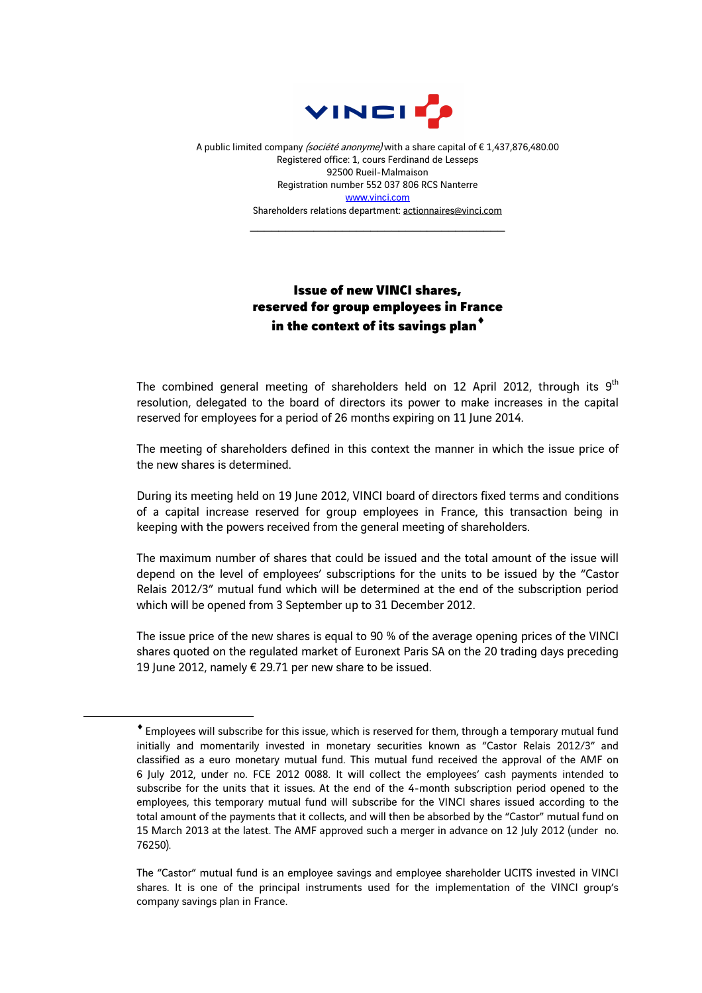

A public limited company (société anonyme) with a share capital of €1,437,876,480.00 Registered office: 1, cours Ferdinand de Lesseps 92500 Rueil-Malmaison Registration number 552 037 806 RCS Nanterre www.vinci.com Shareholders relations department: actionnaires@vinci.com

\_\_\_\_\_\_\_\_\_\_\_\_\_\_\_\_\_\_\_\_\_\_\_\_\_\_\_\_\_\_\_\_\_\_\_\_

## Issue of new VINCI shares, reserved for group employees in France in the context of its savings plan $^{\star}$

The combined general meeting of shareholders held on 12 April 2012, through its  $9<sup>th</sup>$ resolution, delegated to the board of directors its power to make increases in the capital reserved for employees for a period of 26 months expiring on 11 June 2014.

The meeting of shareholders defined in this context the manner in which the issue price of the new shares is determined.

During its meeting held on 19 June 2012, VINCI board of directors fixed terms and conditions of a capital increase reserved for group employees in France, this transaction being in keeping with the powers received from the general meeting of shareholders.

The maximum number of shares that could be issued and the total amount of the issue will depend on the level of employees' subscriptions for the units to be issued by the "Castor Relais 2012/3" mutual fund which will be determined at the end of the subscription period which will be opened from 3 September up to 31 December 2012.

The issue price of the new shares is equal to 90 % of the average opening prices of the VINCI shares quoted on the regulated market of Euronext Paris SA on the 20 trading days preceding 19 June 2012, namely € 29.71 per new share to be issued.

 $\overline{a}$ 

<sup>♦</sup> Employees will subscribe for this issue, which is reserved for them, through a temporary mutual fund initially and momentarily invested in monetary securities known as "Castor Relais 2012/3" and classified as a euro monetary mutual fund. This mutual fund received the approval of the AMF on 6 July 2012, under no. FCE 2012 0088. It will collect the employees' cash payments intended to subscribe for the units that it issues. At the end of the 4-month subscription period opened to the employees, this temporary mutual fund will subscribe for the VINCI shares issued according to the total amount of the payments that it collects, and will then be absorbed by the "Castor" mutual fund on 15 March 2013 at the latest. The AMF approved such a merger in advance on 12 July 2012 (under no. 76250).

The "Castor" mutual fund is an employee savings and employee shareholder UCITS invested in VINCI shares. It is one of the principal instruments used for the implementation of the VINCI group's company savings plan in France.